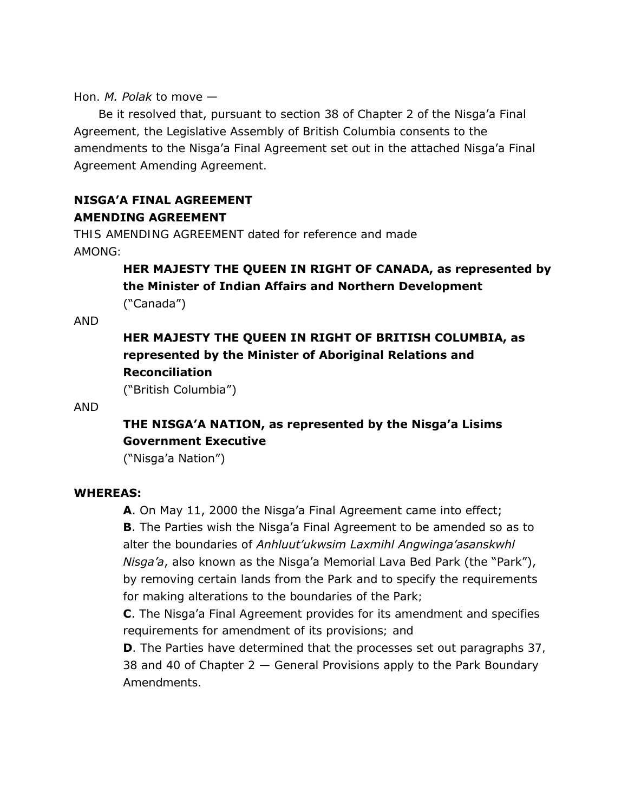#### Hon. *M. Polak* to move —

Be it resolved that, pursuant to section 38 of Chapter 2 of the Nisga'a Final Agreement, the Legislative Assembly of British Columbia consents to the amendments to the Nisga'a Final Agreement set out in the attached Nisga'a Final Agreement Amending Agreement.

## **NISGA'A FINAL AGREEMENT AMENDING AGREEMENT**

THIS AMENDING AGREEMENT dated for reference and made AMONG:

## **HER MAJESTY THE QUEEN IN RIGHT OF CANADA, as represented by the Minister of Indian Affairs and Northern Development**  ("Canada")

AND

# **HER MAJESTY THE QUEEN IN RIGHT OF BRITISH COLUMBIA, as represented by the Minister of Aboriginal Relations and Reconciliation**

("British Columbia")

#### AND

## **THE NISGA'A NATION, as represented by the Nisga'a Lisims Government Executive**

("Nisga'a Nation")

#### **WHEREAS:**

**A**. On May 11, 2000 the Nisga'a Final Agreement came into effect; **B**. The Parties wish the Nisga'a Final Agreement to be amended so as to alter the boundaries of *Anhluut'ukwsim Laxmihl Angwinga'asanskwhl Nisga'a*, also known as the Nisga'a Memorial Lava Bed Park (the "Park"), by removing certain lands from the Park and to specify the requirements for making alterations to the boundaries of the Park;

**C**. The Nisga'a Final Agreement provides for its amendment and specifies requirements for amendment of its provisions; and

**D**. The Parties have determined that the processes set out paragraphs 37, 38 and 40 of Chapter 2 — General Provisions apply to the Park Boundary Amendments.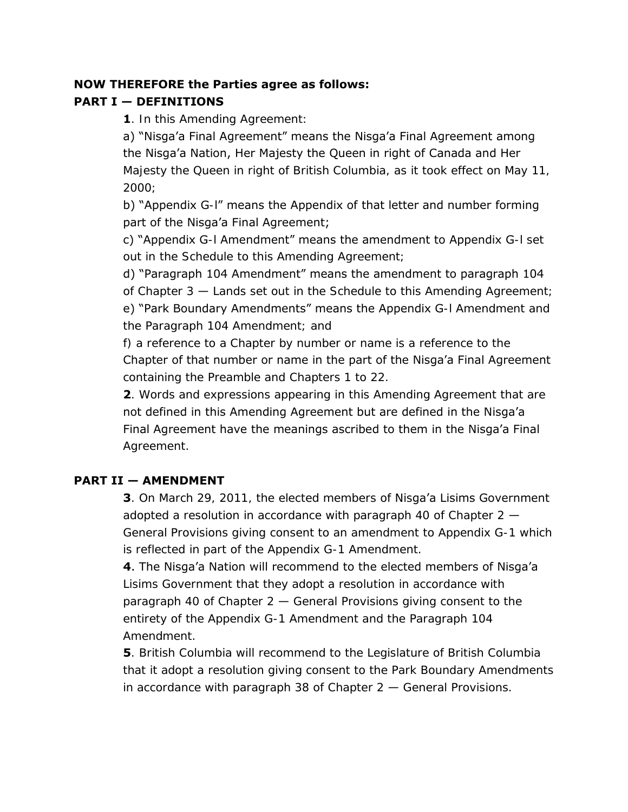#### **NOW THEREFORE the Parties agree as follows:**

## **PART I — DEFINITIONS**

**1**. In this Amending Agreement:

a) "Nisga'a Final Agreement" means the Nisga'a Final Agreement among the Nisga'a Nation, Her Majesty the Queen in right of Canada and Her Majesty the Queen in right of British Columbia, as it took effect on May 11, 2000;

b) "Appendix G-l" means the Appendix of that letter and number forming part of the Nisga'a Final Agreement;

c) "Appendix G-l Amendment" means the amendment to Appendix G-l set out in the Schedule to this Amending Agreement;

d) "Paragraph 104 Amendment" means the amendment to paragraph 104 of Chapter 3 — Lands set out in the Schedule to this Amending Agreement; e) "Park Boundary Amendments" means the Appendix G-l Amendment and the Paragraph 104 Amendment; and

f) a reference to a Chapter by number or name is a reference to the Chapter of that number or name in the part of the Nisga'a Final Agreement

containing the Preamble and Chapters 1 to 22.

**2**. Words and expressions appearing in this Amending Agreement that are not defined in this Amending Agreement but are defined in the Nisga'a Final Agreement have the meanings ascribed to them in the Nisga'a Final Agreement.

### **PART II — AMENDMENT**

**3**. On March 29, 2011, the elected members of Nisga'a Lisims Government adopted a resolution in accordance with paragraph 40 of Chapter  $2 -$ General Provisions giving consent to an amendment to Appendix G-1 which is reflected in part of the Appendix G-1 Amendment.

**4**. The Nisga'a Nation will recommend to the elected members of Nisga'a Lisims Government that they adopt a resolution in accordance with paragraph 40 of Chapter  $2 -$  General Provisions giving consent to the entirety of the Appendix G-1 Amendment and the Paragraph 104 Amendment.

**5**. British Columbia will recommend to the Legislature of British Columbia that it adopt a resolution giving consent to the Park Boundary Amendments in accordance with paragraph 38 of Chapter  $2 -$  General Provisions.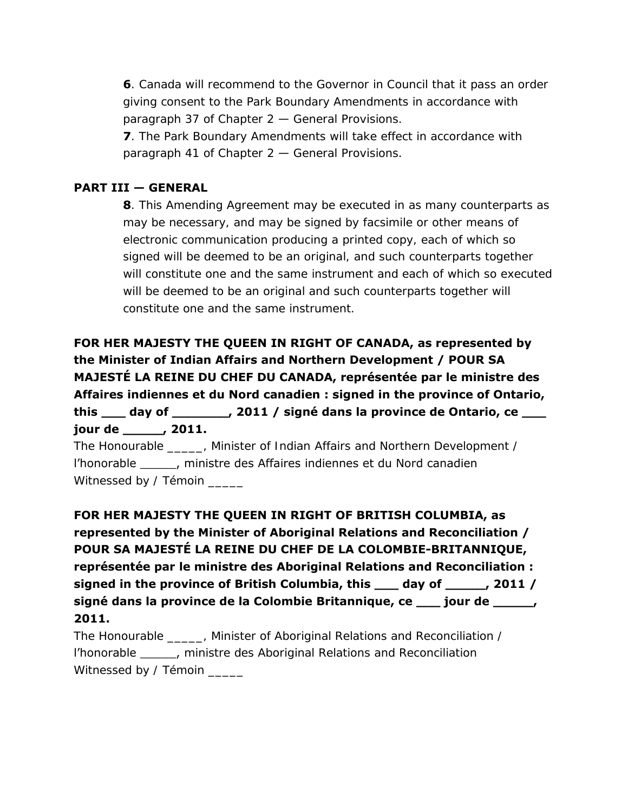**6**. Canada will recommend to the Governor in Council that it pass an order giving consent to the Park Boundary Amendments in accordance with paragraph 37 of Chapter 2 — General Provisions.

**7**. The Park Boundary Amendments will take effect in accordance with paragraph 41 of Chapter 2 — General Provisions.

#### **PART III — GENERAL**

**8**. This Amending Agreement may be executed in as many counterparts as may be necessary, and may be signed by facsimile or other means of electronic communication producing a printed copy, each of which so signed will be deemed to be an original, and such counterparts together will constitute one and the same instrument and each of which so executed will be deemed to be an original and such counterparts together will constitute one and the same instrument.

**FOR HER MAJESTY THE QUEEN IN RIGHT OF CANADA, as represented by the Minister of Indian Affairs and Northern Development / POUR SA MAJESTÉ LA REINE DU CHEF DU CANADA, représentée par le ministre des Affaires indiennes et du Nord canadien : signed in the province of Ontario, this \_\_\_ day of \_\_\_\_\_\_\_, 2011 / signé dans la province de Ontario, ce \_\_\_ jour de \_\_\_\_\_, 2011.** 

The Honourable \_\_\_\_\_, Minister of Indian Affairs and Northern Development / l'honorable \_\_\_\_\_, ministre des Affaires indiennes et du Nord canadien Witnessed by / Témoin

**FOR HER MAJESTY THE QUEEN IN RIGHT OF BRITISH COLUMBIA, as represented by the Minister of Aboriginal Relations and Reconciliation / POUR SA MAJESTÉ LA REINE DU CHEF DE LA COLOMBIE-BRITANNIQUE, représentée par le ministre des Aboriginal Relations and Reconciliation : signed in the province of British Columbia, this \_\_\_ day of \_\_\_\_\_, 2011 / signé dans la province de la Colombie Britannique, ce \_\_\_ jour de \_\_\_\_\_, 2011.** 

The Honourable \_\_\_\_\_, Minister of Aboriginal Relations and Reconciliation / l'honorable \_\_\_\_\_, ministre des Aboriginal Relations and Reconciliation Witnessed by / Témoin \_\_\_\_\_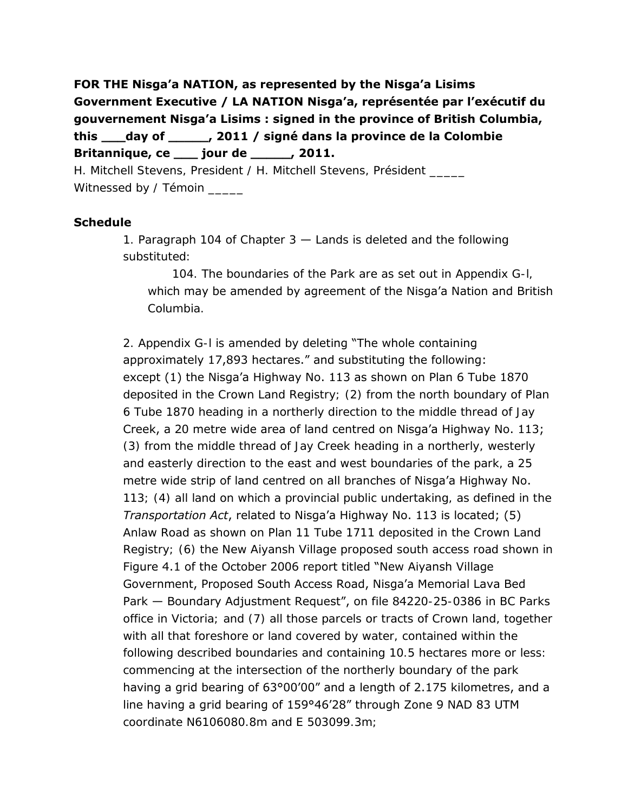**FOR THE Nisga'a NATION, as represented by the Nisga'a Lisims Government Executive / LA NATION Nisga'a, représentée par l'exécutif du gouvernement Nisga'a Lisims : signed in the province of British Columbia, this \_\_\_day of \_\_\_\_\_, 2011 / signé dans la province de la Colombie Britannique, ce \_\_\_ jour de \_\_\_\_\_, 2011.** 

H. Mitchell Stevens, President / H. Mitchell Stevens, Président Witnessed by / Témoin \_\_\_\_\_

#### **Schedule**

1. Paragraph 104 of Chapter 3 — Lands is deleted and the following substituted:

104. The boundaries of the Park are as set out in Appendix G-l, which may be amended by agreement of the Nisga'a Nation and British Columbia.

2. Appendix G-l is amended by deleting "The whole containing approximately 17,893 hectares." and substituting the following: except (1) the Nisga'a Highway No. 113 as shown on Plan 6 Tube 1870 deposited in the Crown Land Registry; (2) from the north boundary of Plan 6 Tube 1870 heading in a northerly direction to the middle thread of Jay Creek, a 20 metre wide area of land centred on Nisga'a Highway No. 113; (3) from the middle thread of Jay Creek heading in a northerly, westerly and easterly direction to the east and west boundaries of the park, a 25 metre wide strip of land centred on all branches of Nisga'a Highway No. 113; (4) all land on which a provincial public undertaking, as defined in the *Transportation Act*, related to Nisga'a Highway No. 113 is located; (5) Anlaw Road as shown on Plan 11 Tube 1711 deposited in the Crown Land Registry; (6) the New Aiyansh Village proposed south access road shown in Figure 4.1 of the October 2006 report titled "New Aiyansh Village Government, Proposed South Access Road, Nisga'a Memorial Lava Bed Park - Boundary Adjustment Request", on file 84220-25-0386 in BC Parks office in Victoria; and (7) all those parcels or tracts of Crown land, together with all that foreshore or land covered by water, contained within the following described boundaries and containing 10.5 hectares more or less: commencing at the intersection of the northerly boundary of the park having a grid bearing of 63°00'00" and a length of 2.175 kilometres, and a line having a grid bearing of 159°46'28" through Zone 9 NAD 83 UTM coordinate N6106080.8m and E 503099.3m;